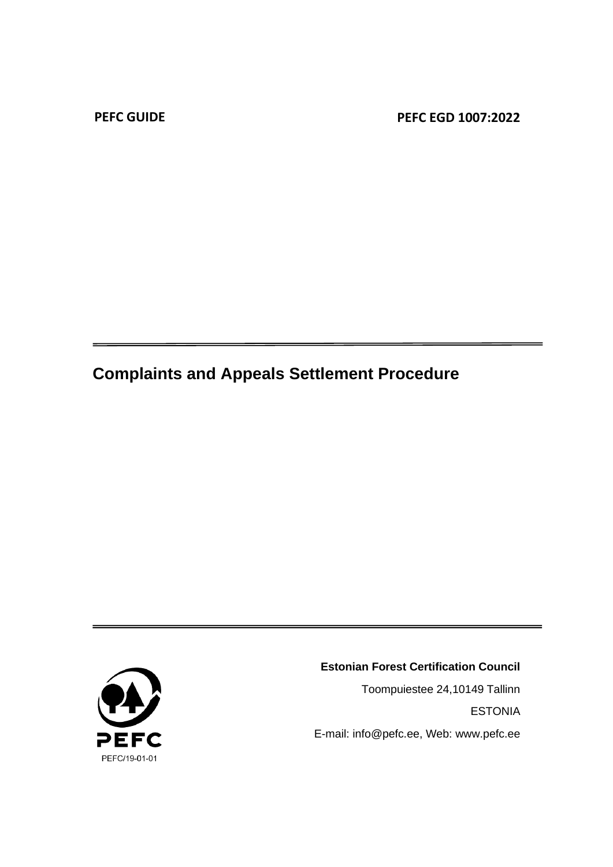**PEFC GUIDE PEFC EGD 1007:2022**

# **Complaints and Appeals Settlement Procedure**



#### **Estonian Forest Certification Council**

Toompuiestee 24,10149 Tallinn ESTONIA E-mail: info@pefc.ee, Web: www.pefc.ee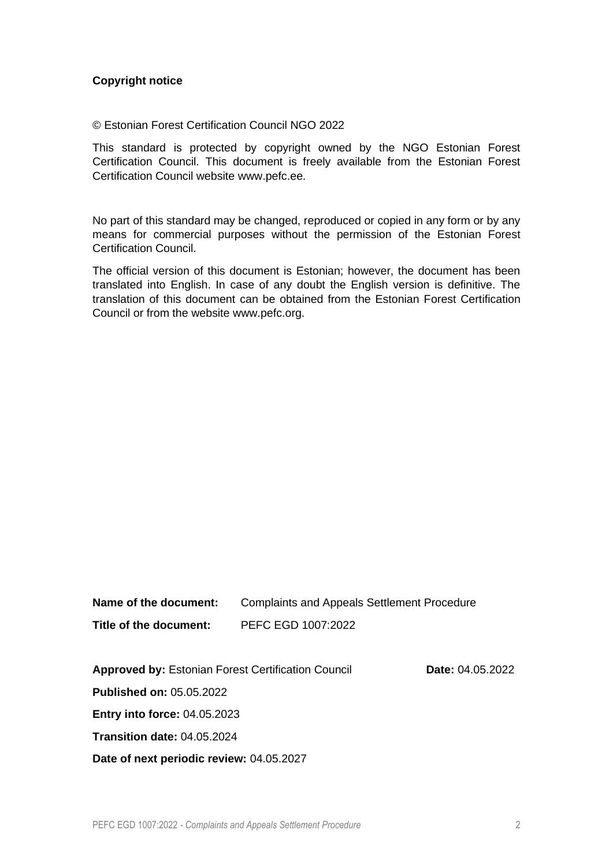#### **Copyright notice**

© Estonian Forest Certification Council NGO 2022

This standard is protected by copyright owned by the NGO Estonian Forest Certification Council. This document is freely available from the Estonian Forest Certification Council website www.pefc.ee.

No part of this standard may be changed, reproduced or copied in any form or by any means for commercial purposes without the permission of the Estonian Forest Certification Council.

The official version of this document is Estonian; however, the document has been translated into English. In case of any doubt the English version is definitive. The translation of this document can be obtained from the Estonian Forest Certification Council or from the website www.pefc.org.

| Name of the document:  | <b>Complaints and Appeals Settlement Procedure</b> |
|------------------------|----------------------------------------------------|
| Title of the document: | PEFC EGD 1007:2022                                 |

**Approved by:** Estonian Forest Certification Council **Date:** 04.05.2022

**Published on:** 05.05.2022

**Entry into force:** 04.05.2023

**Transition date:** 04.05.2024

**Date of next periodic review:** 04.05.2027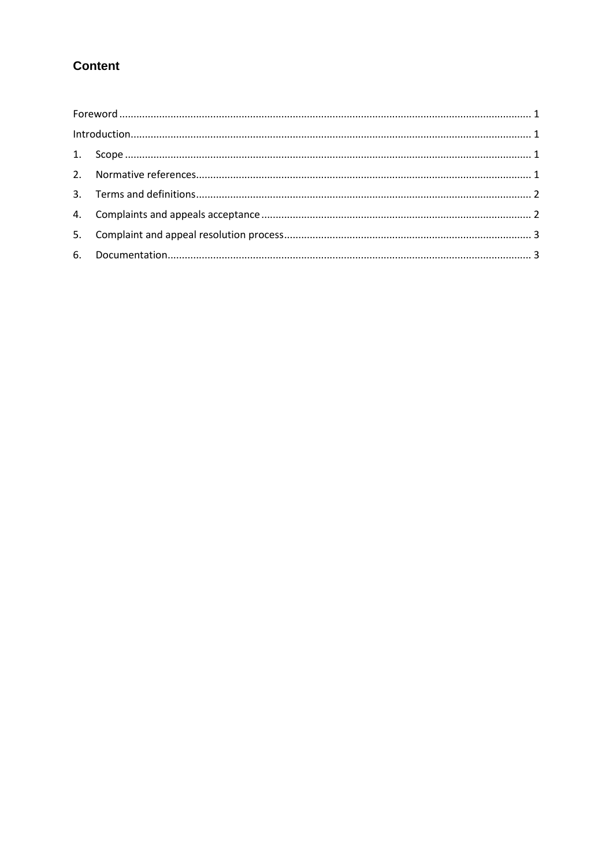# **Content**

| $\label{eq:interoduction} \text{Introduction}$ |  |
|------------------------------------------------|--|
|                                                |  |
|                                                |  |
|                                                |  |
|                                                |  |
|                                                |  |
|                                                |  |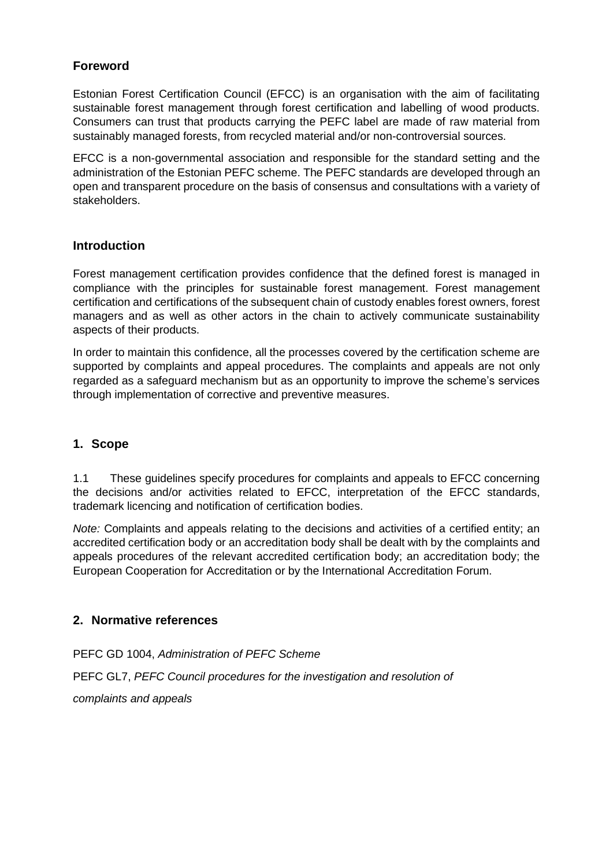## <span id="page-3-0"></span>**Foreword**

Estonian Forest Certification Council (EFCC) is an organisation with the aim of facilitating sustainable forest management through forest certification and labelling of wood products. Consumers can trust that products carrying the PEFC label are made of raw material from sustainably managed forests, from recycled material and/or non-controversial sources.

EFCC is a non-governmental association and responsible for the standard setting and the administration of the Estonian PEFC scheme. The PEFC standards are developed through an open and transparent procedure on the basis of consensus and consultations with a variety of stakeholders.

## <span id="page-3-1"></span>**Introduction**

Forest management certification provides confidence that the defined forest is managed in compliance with the principles for sustainable forest management. Forest management certification and certifications of the subsequent chain of custody enables forest owners, forest managers and as well as other actors in the chain to actively communicate sustainability aspects of their products.

In order to maintain this confidence, all the processes covered by the certification scheme are supported by complaints and appeal procedures. The complaints and appeals are not only regarded as a safeguard mechanism but as an opportunity to improve the scheme's services through implementation of corrective and preventive measures.

## <span id="page-3-2"></span>**1. Scope**

1.1 These guidelines specify procedures for complaints and appeals to EFCC concerning the decisions and/or activities related to EFCC, interpretation of the EFCC standards, trademark licencing and notification of certification bodies.

*Note:* Complaints and appeals relating to the decisions and activities of a certified entity; an accredited certification body or an accreditation body shall be dealt with by the complaints and appeals procedures of the relevant accredited certification body; an accreditation body; the European Cooperation for Accreditation or by the International Accreditation Forum.

## <span id="page-3-3"></span>**2. Normative references**

PEFC GD 1004, *Administration of PEFC Scheme* PEFC GL7, *PEFC Council procedures for the investigation and resolution of complaints and appeals*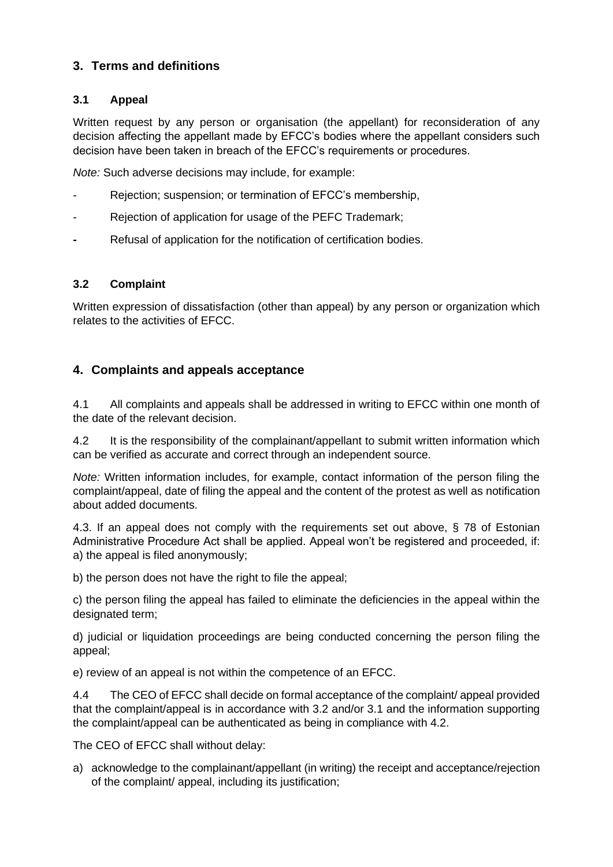# <span id="page-4-0"></span>**3. Terms and definitions**

#### **3.1 Appeal**

Written request by any person or organisation (the appellant) for reconsideration of any decision affecting the appellant made by EFCC's bodies where the appellant considers such decision have been taken in breach of the EFCC's requirements or procedures.

*Note:* Such adverse decisions may include, for example:

- Rejection; suspension; or termination of EFCC's membership,
- Rejection of application for usage of the PEFC Trademark;
- **-** Refusal of application for the notification of certification bodies.

#### **3.2 Complaint**

Written expression of dissatisfaction (other than appeal) by any person or organization which relates to the activities of EFCC.

## <span id="page-4-1"></span>**4. Complaints and appeals acceptance**

4.1 All complaints and appeals shall be addressed in writing to EFCC within one month of the date of the relevant decision.

4.2 It is the responsibility of the complainant/appellant to submit written information which can be verified as accurate and correct through an independent source.

*Note:* Written information includes, for example, contact information of the person filing the complaint/appeal, date of filing the appeal and the content of the protest as well as notification about added documents.

4.3. If an appeal does not comply with the requirements set out above, § 78 of Estonian Administrative Procedure Act shall be applied. Appeal won't be registered and proceeded, if: a) the appeal is filed anonymously;

b) the person does not have the right to file the appeal:

c) the person filing the appeal has failed to eliminate the deficiencies in the appeal within the designated term;

d) judicial or liquidation proceedings are being conducted concerning the person filing the appeal;

e) review of an appeal is not within the competence of an EFCC.

4.4 The CEO of EFCC shall decide on formal acceptance of the complaint/ appeal provided that the complaint/appeal is in accordance with 3.2 and/or 3.1 and the information supporting the complaint/appeal can be authenticated as being in compliance with 4.2.

The CEO of EFCC shall without delay:

a) acknowledge to the complainant/appellant (in writing) the receipt and acceptance/rejection of the complaint/ appeal, including its justification;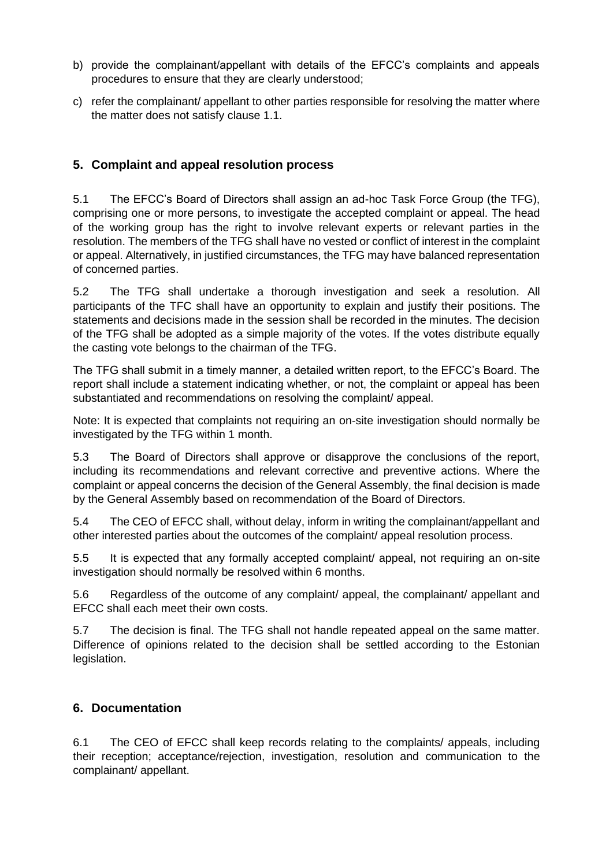- b) provide the complainant/appellant with details of the EFCC's complaints and appeals procedures to ensure that they are clearly understood;
- c) refer the complainant/ appellant to other parties responsible for resolving the matter where the matter does not satisfy clause 1.1.

# <span id="page-5-0"></span>**5. Complaint and appeal resolution process**

5.1 The EFCC's Board of Directors shall assign an ad-hoc Task Force Group (the TFG), comprising one or more persons, to investigate the accepted complaint or appeal. The head of the working group has the right to involve relevant experts or relevant parties in the resolution. The members of the TFG shall have no vested or conflict of interest in the complaint or appeal. Alternatively, in justified circumstances, the TFG may have balanced representation of concerned parties.

5.2 The TFG shall undertake a thorough investigation and seek a resolution. All participants of the TFC shall have an opportunity to explain and justify their positions. The statements and decisions made in the session shall be recorded in the minutes. The decision of the TFG shall be adopted as a simple majority of the votes. If the votes distribute equally the casting vote belongs to the chairman of the TFG.

The TFG shall submit in a timely manner, a detailed written report, to the EFCC's Board. The report shall include a statement indicating whether, or not, the complaint or appeal has been substantiated and recommendations on resolving the complaint/ appeal.

Note: It is expected that complaints not requiring an on-site investigation should normally be investigated by the TFG within 1 month.

5.3 The Board of Directors shall approve or disapprove the conclusions of the report, including its recommendations and relevant corrective and preventive actions. Where the complaint or appeal concerns the decision of the General Assembly, the final decision is made by the General Assembly based on recommendation of the Board of Directors.

5.4 The CEO of EFCC shall, without delay, inform in writing the complainant/appellant and other interested parties about the outcomes of the complaint/ appeal resolution process.

5.5 It is expected that any formally accepted complaint/ appeal, not requiring an on-site investigation should normally be resolved within 6 months.

5.6 Regardless of the outcome of any complaint/ appeal, the complainant/ appellant and EFCC shall each meet their own costs.

5.7 The decision is final. The TFG shall not handle repeated appeal on the same matter. Difference of opinions related to the decision shall be settled according to the Estonian legislation.

## <span id="page-5-1"></span>**6. Documentation**

6.1 The CEO of EFCC shall keep records relating to the complaints/ appeals, including their reception; acceptance/rejection, investigation, resolution and communication to the complainant/ appellant.